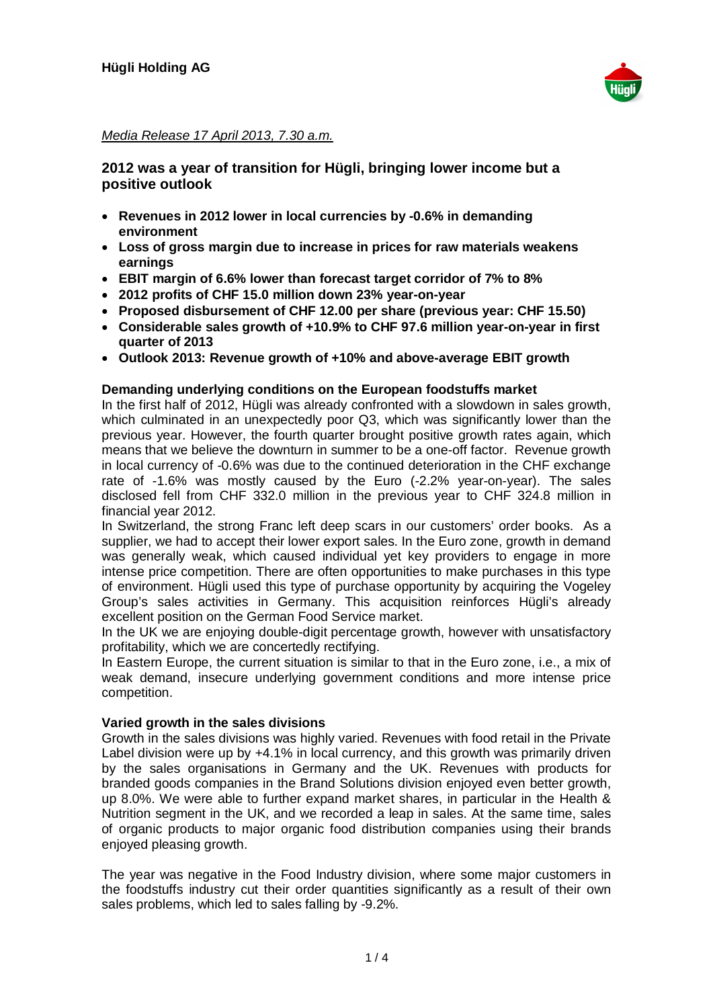

## Media Release 17 April 2013, 7.30 a.m.

# **2012 was a year of transition for Hügli, bringing lower income but a positive outlook**

- � **Revenues in 2012 lower in local currencies by -0.6% in demanding environment**
- � **Loss of gross margin due to increase in prices for raw materials weakens earnings**
- � **EBIT margin of 6.6% lower than forecast target corridor of 7% to 8%**
- � **2012 profits of CHF 15.0 million down 23% year-on-year**
- � **Proposed disbursement of CHF 12.00 per share (previous year: CHF 15.50)**
- � **Considerable sales growth of +10.9% to CHF 97.6 million year-on-year in first quarter of 2013**
- � **Outlook 2013: Revenue growth of +10% and above-average EBIT growth**

## **Demanding underlying conditions on the European foodstuffs market**

In the first half of 2012, Hügli was already confronted with a slowdown in sales growth, which culminated in an unexpectedly poor Q3, which was significantly lower than the previous year. However, the fourth quarter brought positive growth rates again, which means that we believe the downturn in summer to be a one-off factor. Revenue growth in local currency of -0.6% was due to the continued deterioration in the CHF exchange rate of -1.6% was mostly caused by the Euro (-2.2% year-on-year). The sales disclosed fell from CHF 332.0 million in the previous year to CHF 324.8 million in financial year 2012.

In Switzerland, the strong Franc left deep scars in our customers' order books. As a supplier, we had to accept their lower export sales. In the Euro zone, growth in demand was generally weak, which caused individual yet key providers to engage in more intense price competition. There are often opportunities to make purchases in this type of environment. Hügli used this type of purchase opportunity by acquiring the Vogeley Group's sales activities in Germany. This acquisition reinforces Hügli's already excellent position on the German Food Service market.

In the UK we are enjoying double-digit percentage growth, however with unsatisfactory profitability, which we are concertedly rectifying.

In Eastern Europe, the current situation is similar to that in the Euro zone, i.e., a mix of weak demand, insecure underlying government conditions and more intense price competition.

#### **Varied growth in the sales divisions**

Growth in the sales divisions was highly varied. Revenues with food retail in the Private Label division were up by +4.1% in local currency, and this growth was primarily driven by the sales organisations in Germany and the UK. Revenues with products for branded goods companies in the Brand Solutions division enjoyed even better growth, up 8.0%. We were able to further expand market shares, in particular in the Health & Nutrition segment in the UK, and we recorded a leap in sales. At the same time, sales of organic products to major organic food distribution companies using their brands enjoyed pleasing growth.

The year was negative in the Food Industry division, where some major customers in the foodstuffs industry cut their order quantities significantly as a result of their own sales problems, which led to sales falling by -9.2%.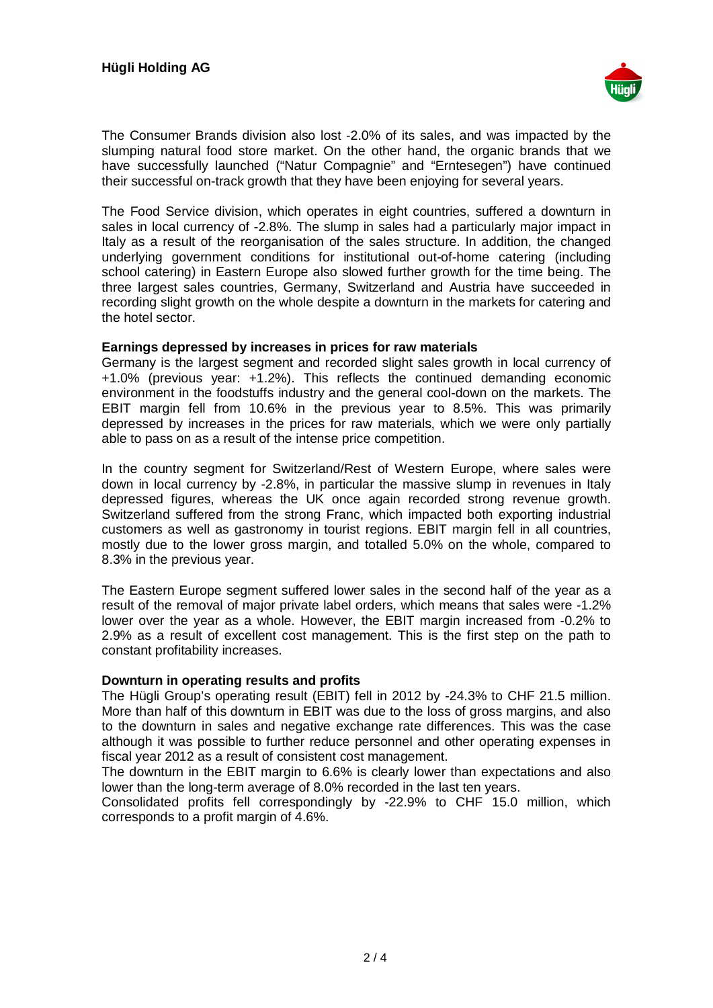

The Consumer Brands division also lost -2.0% of its sales, and was impacted by the slumping natural food store market. On the other hand, the organic brands that we have successfully launched ("Natur Compagnie" and "Erntesegen") have continued their successful on-track growth that they have been enjoying for several years.

The Food Service division, which operates in eight countries, suffered a downturn in sales in local currency of -2.8%. The slump in sales had a particularly major impact in Italy as a result of the reorganisation of the sales structure. In addition, the changed underlying government conditions for institutional out-of-home catering (including school catering) in Eastern Europe also slowed further growth for the time being. The three largest sales countries, Germany, Switzerland and Austria have succeeded in recording slight growth on the whole despite a downturn in the markets for catering and the hotel sector.

#### **Earnings depressed by increases in prices for raw materials**

Germany is the largest segment and recorded slight sales growth in local currency of +1.0% (previous year: +1.2%). This reflects the continued demanding economic environment in the foodstuffs industry and the general cool-down on the markets. The EBIT margin fell from 10.6% in the previous year to 8.5%. This was primarily depressed by increases in the prices for raw materials, which we were only partially able to pass on as a result of the intense price competition.

In the country segment for Switzerland/Rest of Western Europe, where sales were down in local currency by -2.8%, in particular the massive slump in revenues in Italy depressed figures, whereas the UK once again recorded strong revenue growth. Switzerland suffered from the strong Franc, which impacted both exporting industrial customers as well as gastronomy in tourist regions. EBIT margin fell in all countries, mostly due to the lower gross margin, and totalled 5.0% on the whole, compared to 8.3% in the previous year.

The Eastern Europe segment suffered lower sales in the second half of the year as a result of the removal of major private label orders, which means that sales were -1.2% lower over the year as a whole. However, the EBIT margin increased from -0.2% to 2.9% as a result of excellent cost management. This is the first step on the path to constant profitability increases.

## **Downturn in operating results and profits**

The Hügli Group's operating result (EBIT) fell in 2012 by -24.3% to CHF 21.5 million. More than half of this downturn in EBIT was due to the loss of gross margins, and also to the downturn in sales and negative exchange rate differences. This was the case although it was possible to further reduce personnel and other operating expenses in fiscal year 2012 as a result of consistent cost management.

The downturn in the EBIT margin to 6.6% is clearly lower than expectations and also lower than the long-term average of 8.0% recorded in the last ten years.

Consolidated profits fell correspondingly by -22.9% to CHF 15.0 million, which corresponds to a profit margin of 4.6%.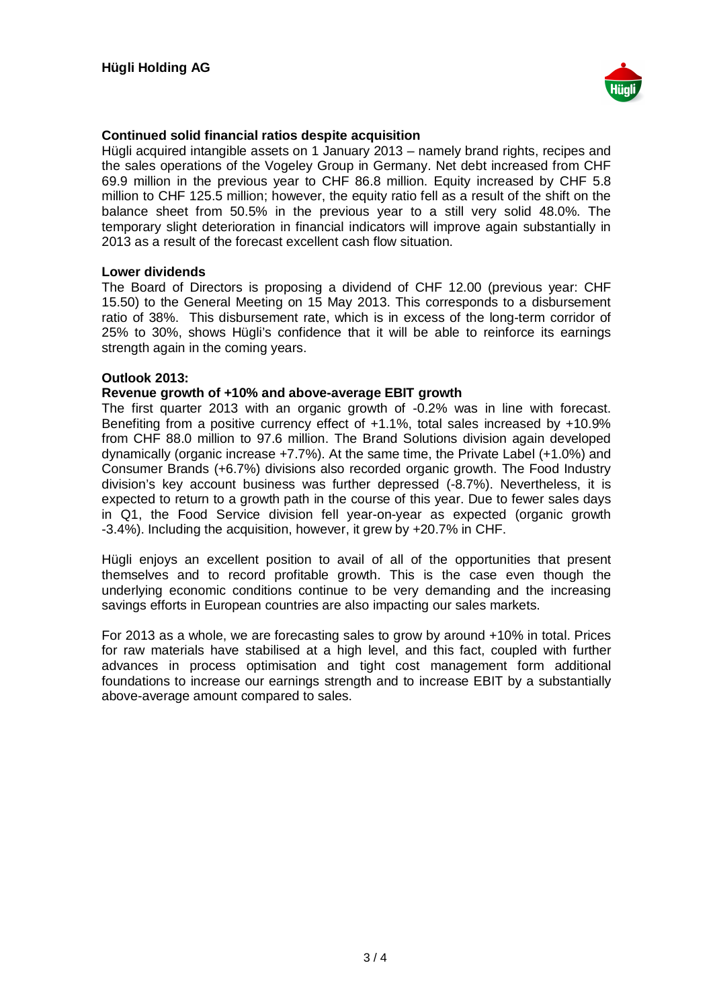

## **Continued solid financial ratios despite acquisition**

Hügli acquired intangible assets on 1 January 2013 – namely brand rights, recipes and the sales operations of the Vogeley Group in Germany. Net debt increased from CHF 69.9 million in the previous year to CHF 86.8 million. Equity increased by CHF 5.8 million to CHF 125.5 million; however, the equity ratio fell as a result of the shift on the balance sheet from 50.5% in the previous year to a still very solid 48.0%. The temporary slight deterioration in financial indicators will improve again substantially in 2013 as a result of the forecast excellent cash flow situation.

#### **Lower dividends**

The Board of Directors is proposing a dividend of CHF 12.00 (previous year: CHF 15.50) to the General Meeting on 15 May 2013. This corresponds to a disbursement ratio of 38%. This disbursement rate, which is in excess of the long-term corridor of 25% to 30%, shows Hügli's confidence that it will be able to reinforce its earnings strength again in the coming years.

#### **Outlook 2013:**

#### **Revenue growth of +10% and above-average EBIT growth**

The first quarter 2013 with an organic growth of -0.2% was in line with forecast. Benefiting from a positive currency effect of +1.1%, total sales increased by +10.9% from CHF 88.0 million to 97.6 million. The Brand Solutions division again developed dynamically (organic increase +7.7%). At the same time, the Private Label (+1.0%) and Consumer Brands (+6.7%) divisions also recorded organic growth. The Food Industry division's key account business was further depressed (-8.7%). Nevertheless, it is expected to return to a growth path in the course of this year. Due to fewer sales days in Q1, the Food Service division fell year-on-year as expected (organic growth -3.4%). Including the acquisition, however, it grew by +20.7% in CHF.

Hügli enjoys an excellent position to avail of all of the opportunities that present themselves and to record profitable growth. This is the case even though the underlying economic conditions continue to be very demanding and the increasing savings efforts in European countries are also impacting our sales markets.

For 2013 as a whole, we are forecasting sales to grow by around +10% in total. Prices for raw materials have stabilised at a high level, and this fact, coupled with further advances in process optimisation and tight cost management form additional foundations to increase our earnings strength and to increase EBIT by a substantially above-average amount compared to sales.